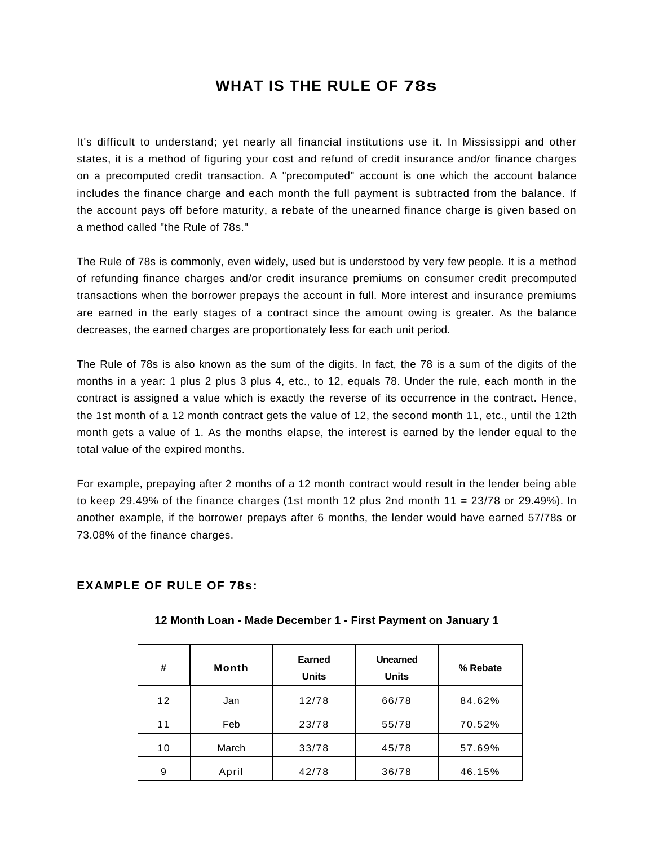# **WHAT IS THE RULE OF 78s**

It's difficult to understand; yet nearly all financial institutions use it. In Mississippi and other states, it is a method of figuring your cost and refund of credit insurance and/or finance charges on a precomputed credit transaction. A "precomputed" account is one which the account balance includes the finance charge and each month the full payment is subtracted from the balance. If the account pays off before maturity, a rebate of the unearned finance charge is given based on a method called "the Rule of 78s."

The Rule of 78s is commonly, even widely, used but is understood by very few people. It is a method of refunding finance charges and/or credit insurance premiums on consumer credit precomputed transactions when the borrower prepays the account in full. More interest and insurance premiums are earned in the early stages of a contract since the amount owing is greater. As the balance decreases, the earned charges are proportionately less for each unit period.

The Rule of 78s is also known as the sum of the digits. In fact, the 78 is a sum of the digits of the months in a year: 1 plus 2 plus 3 plus 4, etc., to 12, equals 78. Under the rule, each month in the contract is assigned a value which is exactly the reverse of its occurrence in the contract. Hence, the 1st month of a 12 month contract gets the value of 12, the second month 11, etc., until the 12th month gets a value of 1. As the months elapse, the interest is earned by the lender equal to the total value of the expired months.

For example, prepaying after 2 months of a 12 month contract would result in the lender being able to keep 29.49% of the finance charges (1st month 12 plus 2nd month 11 =  $23/78$  or 29.49%). In another example, if the borrower prepays after 6 months, the lender would have earned 57/78s or 73.08% of the finance charges.

### **EXAMPLE OF RULE OF 78s:**

| #               | Month | Earned<br><b>Units</b> | <b>Unearned</b><br><b>Units</b> | % Rebate |
|-----------------|-------|------------------------|---------------------------------|----------|
| 12 <sup>2</sup> | Jan   | 12/78                  | 66/78                           | 84.62%   |
| 11              | Feb   | 23/78                  | 55/78                           | 70.52%   |
| 10              | March | 33/78                  | 45/78                           | 57.69%   |
| 9               | April | 42/78                  | 36/78                           | 46.15%   |

### **12 Month Loan - Made December 1 - First Payment on January 1**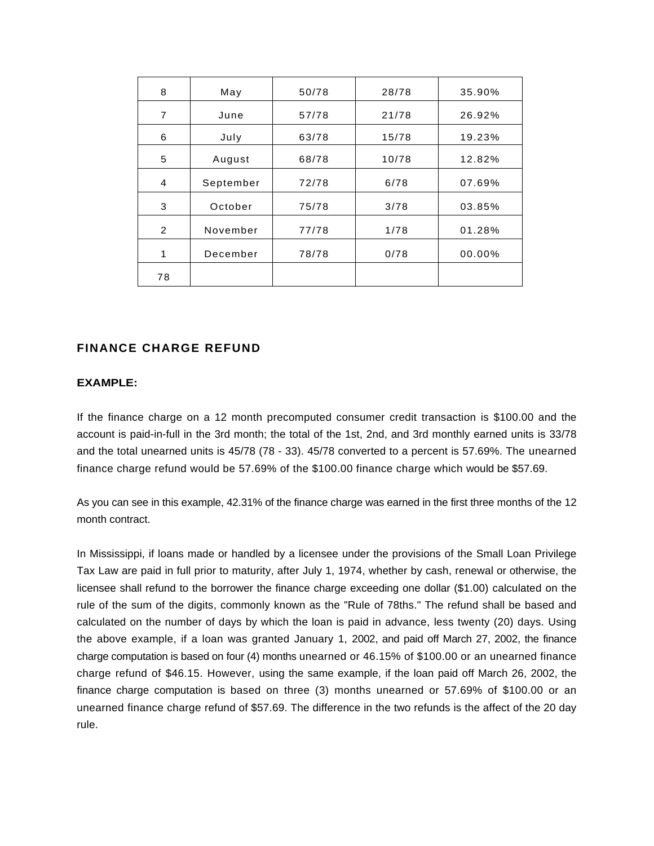| 8              | May       | 50/78 | 28/78 | 35.90% |
|----------------|-----------|-------|-------|--------|
| $\overline{7}$ | June      | 57/78 | 21/78 | 26.92% |
| 6              | July      | 63/78 | 15/78 | 19.23% |
| 5              | August    | 68/78 | 10/78 | 12.82% |
| $\overline{4}$ | September | 72/78 | 6/78  | 07.69% |
| 3              | October   | 75/78 | 3/78  | 03.85% |
| 2              | November  | 77/78 | 1/78  | 01.28% |
| 1              | December  | 78/78 | 0/78  | 00.00% |
| 78             |           |       |       |        |

# **FINANCE CHARGE REFUND**

#### **EXAMPLE:**

If the finance charge on a 12 month precomputed consumer credit transaction is \$100.00 and the account is paid-in-full in the 3rd month; the total of the 1st, 2nd, and 3rd monthly earned units is 33/78 and the total unearned units is 45/78 (78 - 33). 45/78 converted to a percent is 57.69%. The unearned finance charge refund would be 57.69% of the \$100.00 finance charge which would be \$57.69.

As you can see in this example, 42.31% of the finance charge was earned in the first three months of the 12 month contract.

In Mississippi, if loans made or handled by a licensee under the provisions of the Small Loan Privilege Tax Law are paid in full prior to maturity, after July 1, 1974, whether by cash, renewal or otherwise, the licensee shall refund to the borrower the finance charge exceeding one dollar (\$1.00) calculated on the rule of the sum of the digits, commonly known as the "Rule of 78ths." The refund shall be based and calculated on the number of days by which the loan is paid in advance, less twenty (20) days. Using the above example, if a loan was granted January 1, 2002, and paid off March 27, 2002, the finance charge computation is based on four (4) months unearned or 46.15% of \$100.00 or an unearned finance charge refund of \$46.15. However, using the same example, if the loan paid off March 26, 2002, the finance charge computation is based on three (3) months unearned or 57.69% of \$100.00 or an unearned finance charge refund of \$57.69. The difference in the two refunds is the affect of the 20 day rule.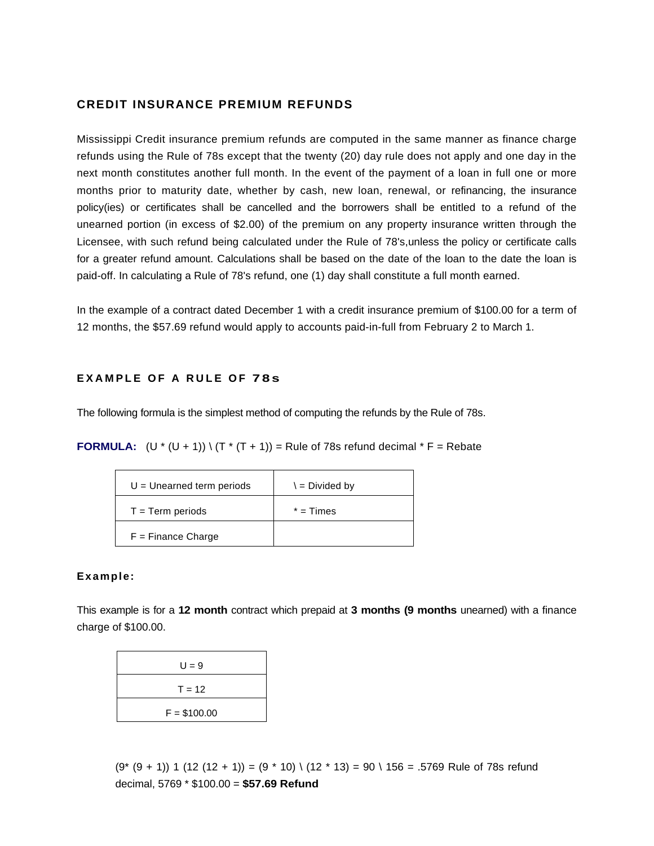## **CREDIT INSURANCE PREMIUM REFUNDS**

Mississippi Credit insurance premium refunds are computed in the same manner as finance charge refunds using the Rule of 78s except that the twenty (20) day rule does not apply and one day in the next month constitutes another full month. In the event of the payment of a loan in full one or more months prior to maturity date, whether by cash, new loan, renewal, or refinancing, the insurance policy(ies) or certificates shall be cancelled and the borrowers shall be entitled to a refund of the unearned portion (in excess of \$2.00) of the premium on any property insurance written through the Licensee, with such refund being calculated under the Rule of 78's,unless the policy or certificate calls for a greater refund amount. Calculations shall be based on the date of the loan to the date the loan is paid-off. In calculating a Rule of 78's refund, one (1) day shall constitute a full month earned.

In the example of a contract dated December 1 with a credit insurance premium of \$100.00 for a term of 12 months, the \$57.69 refund would apply to accounts paid-in-full from February 2 to March 1.

#### **EXAMPLE OF A RULE OF 78s**

The following formula is the simplest method of computing the refunds by the Rule of 78s.

**FORMULA:**  $(U * (U + 1)) \setminus (T * (T + 1)) =$  Rule of 78s refund decimal  $*$  F = Rebate

| $U =$ Unearned term periods | $\lambda = Divided by$ |  |
|-----------------------------|------------------------|--|
| $T = Term$ periods          | $*$ = Times            |  |
| $F =$ Finance Charge        |                        |  |

#### **Example:**

This example is for a **12 month** contract which prepaid at **3 months (9 months** unearned) with a finance charge of \$100.00.

| $U = 9$       |  |  |  |
|---------------|--|--|--|
| $T = 12$      |  |  |  |
| $F = $100.00$ |  |  |  |

 $(9*(9+1))$  1 (12 (12 + 1)) =  $(9*10)$  \  $(12*13)$  =  $90 \setminus 156$  = .5769 Rule of 78s refund decimal, 5769 \* \$100.00 = **\$57.69 Refund**